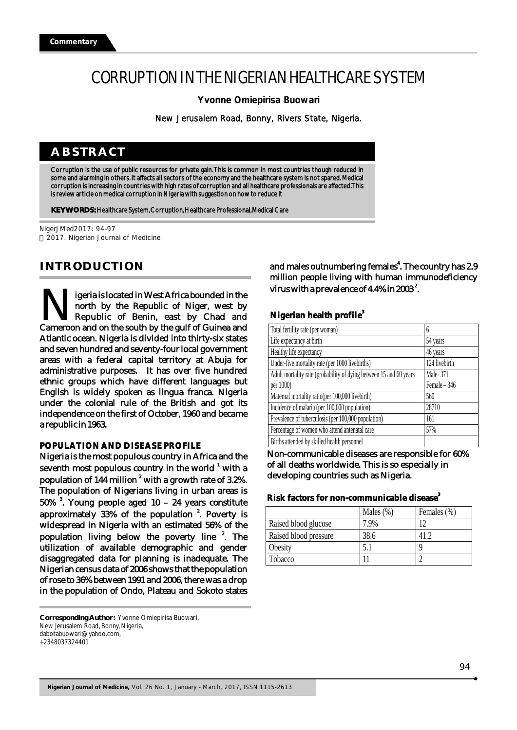# CORRUPTION IN THE NIGERIAN HEALTHCARE SYSTEM

**Yvonne Omiepirisa Buowari**

New Jerusalem Road, Bonny, Rivers State, Nigeria.

## **ABSTRACT**

Corruption is the use of public resources for private gain. This is common in most countries though reduced in some and alarming in others. It affects all sectors of the economy and the healthcare system is not spared. Medical corruption is increasing in countries with high rates of corruption and all healthcare professionals are affected. This is review article on medical corruption in Nigeria with suggestion on how to reduce it

**KEY WORDS:** Healthcare System, Corruption, Healthcare Professional, Medical Care

NigerJMed2017: 94-97 2017. Nigerian Journal of Medicine

# **INTRODUCTION**

igeria is located in West Africa bounded in the **NARED IS INCREDITE IS INTERNATE A** north by the Republic of Niger, west by Republic of Benin, east by Chad and Cameroon and on the south by the gulf of Guinea and Atlantic ocean. Nigeria is divided into thirty-six states and seven hundred and seventy-four local government areas with a federal capital territory at Abuja for administrative purposes. It has over five hundred ethnic groups which have different languages but English is widely spoken as lingua franca. Nigeria under the colonial rule of the British and got its independence on the first of October, 1960 and became a republic in 1963.

#### **POPULATION AND DISEASE PROFILE**

Nigeria is the most populous country in Africa and the seventh most populous country in the world  $^{\rm 1}$  with a population of 144 million  $^2$  with a growth rate of 3.2%. The population of Nigerians living in urban areas is 3 50% . Young people aged 10 – 24 years constitute approximately 33% of the population <sup>2</sup>. Poverty is widespread in Nigeria with an estimated 56% of the population living below the poverty line <sup>2</sup>. The utilization of available demographic and gender disaggregated data for planning is inadequate. The Nigerian census data of 2006 shows that the population of rose to 36% between 1991 and 2006, there was a drop in the population of Ondo, Plateau and Sokoto states

**Corresponding Author:**  Yvonne Omiepirisa Buowari, New Jerusalem Road, Bonny, Nigeria, dabotabuowari@yahoo.com, +2348037324401

and males outnumbering females<sup>4</sup>. The country has 2.9 million people living with human immunodeficiency virus with a prevalence of 4.4% in 2003 $^2$ .

#### **<sup>3</sup> Nigerian health profile**

| Total fertility rate (per woman)                                   | 6             |
|--------------------------------------------------------------------|---------------|
| Life expectancy at birth                                           | 54 years      |
| Healthy life expectancy                                            | 46 years      |
| Under-five mortality rate (per 1000 livebirths)                    | 124 livebirth |
| Adult mortality rate (probability of dying between 15 and 60 years | Male- 371     |
| per 1000)                                                          | Female - 346  |
| Maternal mortality ratio(per 100,000 livebirth)                    | 560           |
| Incidence of malaria (per 100,000 population)                      | 28710         |
| Prevalence of tuberculosis (per 100,000 population)                | 161           |
| Percentage of women who attend antenatal care                      | 57%           |
| Births attended by skilled health personnel                        |               |

Non-communicable diseases are responsible for 60% of all deaths worldwide. This is so especially in developing countries such as Nigeria.

#### **3 Risk factors for non-communicable disease**

|                       | Males $(\%)$ | Females (%) |
|-----------------------|--------------|-------------|
| Raised blood glucose  | 7.9%         |             |
| Raised blood pressure | 38.6         |             |
| Obesity               |              |             |
| Tobacco               |              |             |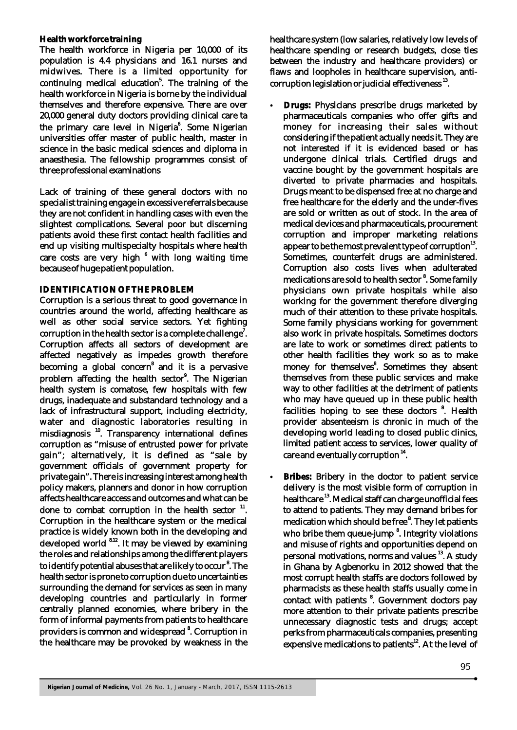#### **Health workforce training**

The health workforce in Nigeria per 10,000 of its population is 4.4 physicians and 16.1 nurses and midwives. There is a limited opportunity for continuing medical education<sup>5</sup>. The training of the health workforce in Nigeria is borne by the individual themselves and therefore expensive. There are over 20,000 general duty doctors providing clinical care ta the primary care level in Nigeria<sup>6</sup>. Some Nigerian universities offer master of public health, master in science in the basic medical sciences and diploma in anaesthesia. The fellowship programmes consist of three professional examinations

Lack of training of these general doctors with no specialist training engage in excessive referrals because they are not confident in handling cases with even the slightest complications. Several poor but discerning patients avoid these first contact health facilities and end up visiting multispecialty hospitals where health care costs are very high  $\degree$  with long waiting time because of huge patient population.

### **IDENTIFICATION OF THE PROBLEM**

Corruption is a serious threat to good governance in countries around the world, affecting healthcare as well as other social service sectors. Yet fighting corruption in the health sector is a complete challenge $\rlap{.}^7.$ Corruption affects all sectors of development are affected negatively as impedes growth therefore becoming a global concern<sup>8</sup> and it is a pervasive problem affecting the health sector<sup>9</sup>. The Nigerian health system is comatose, few hospitals with few drugs, inadequate and substandard technology and a lack of infrastructural support, including electricity, water and diagnostic laboratories resulting in misdiagnosis <sup>10</sup>. Transparency international defines corruption as "misuse of entrusted power for private gain"; alternatively, it is defined as "sale by government officials of government property for private gain". There is increasing interest among health policy makers, planners and donor in how corruption affects healthcare access and outcomes and what can be done to combat corruption in the health sector  $11$ . Corruption in the healthcare system or the medical practice is widely known both in the developing and  $\frac{1}{2}$  developed world  $\frac{8.12}{2}$ . It may be viewed by examining the roles and relationships among the different players to identify potential abuses that are likely to occur  $\displaystyle ^{8}$ . The health sector is prone to corruption due to uncertainties surrounding the demand for services as seen in many developing countries and particularly in former centrally planned economies, where bribery in the form of informal payments from patients to healthcare providers is common and widespread  $\degree$ . Corruption in the healthcare may be provoked by weakness in the

healthcare system (low salaries, relatively low levels of healthcare spending or research budgets, close ties between the industry and healthcare providers) or flaws and loopholes in healthcare supervision, anti $corruption$  legislation or judicial effectiveness  $^{13}$ .

- ?**Drugs:** Physicians prescribe drugs marketed by pharmaceuticals companies who offer gifts and money for increasing their sales without considering if the patient actually needs it. They are not interested if it is evidenced based or has undergone clinical trials. Certified drugs and vaccine bought by the government hospitals are diverted to private pharmacies and hospitals. Drugs meant to be dispensed free at no charge and free healthcare for the elderly and the under-fives are sold or written as out of stock. In the area of medical devices and pharmaceuticals, procurement corruption and improper marketing relations appear to be the most prevalent type of corruption<sup>13</sup>. Sometimes, counterfeit drugs are administered. Corruption also costs lives when adulterated medications are sold to health sector<sup>8</sup>. Some family physicians own private hospitals while also working for the government therefore diverging much of their attention to these private hospitals. Some family physicians working for government also work in private hospitals. Sometimes doctors are late to work or sometimes direct patients to other health facilities they work so as to make money for themselves<sup>8</sup>. Sometimes they absent themselves from these public services and make way to other facilities at the detriment of patients who may have queued up in these public health facilities hoping to see these doctors <sup>8</sup>. Health provider absenteeism is chronic in much of the developing world leading to closed public clinics, limited patient access to services, lower quality of care and eventually corruption<sup>14</sup>.
- ?**Bribes:** Bribery in the doctor to patient service delivery is the most visible form of corruption in healthcare<sup>13</sup>. Medical staff can charge unofficial fees to attend to patients. They may demand bribes for medication which should be free<sup>8</sup>. They let patients who bribe them queue-jump<sup> $\delta$ </sup>. Integrity violations and misuse of rights and opportunities depend on personal motivations, norms and values  $^{13}$ . A study in Ghana by Agbenorku in 2012 showed that the most corrupt health staffs are doctors followed by pharmacists as these health staffs usually come in contact with patients <sup>8</sup>. Government doctors pay more attention to their private patients prescribe unnecessary diagnostic tests and drugs; accept perks from pharmaceuticals companies, presenting expensive medications to patients $^{12}$ . At the level of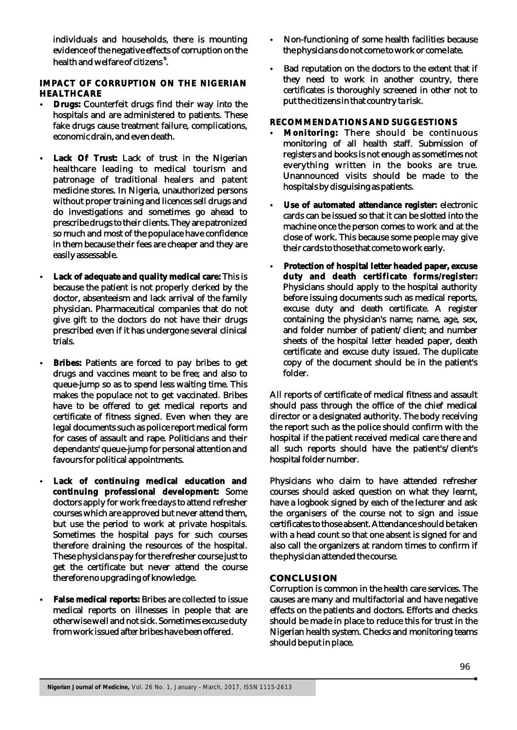individuals and households, there is mounting evidence of the negative effects of corruption on the health and welfare of citizens  $^{\circ}$ .

**IMPACT OF CORRUPTION ON THE NIGERIAN HEALTHCARE**

- ?**Drugs:** Counterfeit drugs find their way into the hospitals and are administered to patients. These fake drugs cause treatment failure, complications, economic drain, and even death.
- ?**Lack Of Trust:** Lack of trust in the Nigerian healthcare leading to medical tourism and patronage of traditional healers and patent medicine stores. In Nigeria, unauthorized persons without proper training and licences sell drugs and do investigations and sometimes go ahead to prescribe drugs to their clients. They are patronized so much and most of the populace have confidence in them because their fees are cheaper and they are easily assessable.
- ?**Lack of adequate and quality medical care:** This is because the patient is not properly clerked by the doctor, absenteeism and lack arrival of the family physician. Pharmaceutical companies that do not give gift to the doctors do not have their drugs prescribed even if it has undergone several clinical trials.
- ?**Bribes:** Patients are forced to pay bribes to get drugs and vaccines meant to be free; and also to queue-jump so as to spend less waiting time. This makes the populace not to get vaccinated. Bribes have to be offered to get medical reports and certificate of fitness signed. Even when they are legal documents such as police report medical form for cases of assault and rape. Politicians and their dependants' queue-jump for personal attention and favours for political appointments.
- ?**Lack of continuing medical education and continuing professional development:** Some doctors apply for work free days to attend refresher courses which are approved but never attend them, but use the period to work at private hospitals. Sometimes the hospital pays for such courses therefore draining the resources of the hospital. These physicians pay for the refresher course just to get the certificate but never attend the course therefore no upgrading of knowledge.
- ?**False medical reports:** Bribes are collected to issue medical reports on illnesses in people that are otherwise well and not sick. Sometimes excuse duty from work issued after bribes have been offered.
- Non-functioning of some health facilities because<br>the physicians do not come to work or come late.
- ?the physicians do not come to work or come late. Bad reputation on the doctors to the extent that if they need to work in another country, there certificates is thoroughly screened in other not to put the citizens in that country ta risk.

- ?**RECOMMENDATIONS AND SUGGESTIONS Monitoring:** There should be continuous monitoring of all health staff. Submission of registers and books is not enough as sometimes not everything written in the books are true. Unannounced visits should be made to the hospitals by disguising as patients.
- ?hospitals by disguising as patients. **Use of automated attendance register:** electronic cards can be issued so that it can be slotted into the machine once the person comes to work and at the close of work. This because some people may give
- ?their cards to those that come to work early. **Protection of hospital letter headed paper, excuse duty and death certificate forms/register:** Physicians should apply to the hospital authority before issuing documents such as medical reports, excuse duty and death certificate. A register containing the physician's name; name, age, sex, and folder number of patient/client; and number sheets of the hospital letter headed paper, death certificate and excuse duty issued. The duplicate copy of the document should be in the patient's folder.

All reports of certificate of medical fitness and assault should pass through the office of the chief medical director or a designated authority. The body receiving the report such as the police should confirm with the hospital if the patient received medical care there and all such reports should have the patient's/client's hospital folder number.

Physicians who claim to have attended refresher courses should asked question on what they learnt, have a logbook signed by each of the lecturer and ask the organisers of the course not to sign and issue certificates to those absent. Attendance should be taken with a head count so that one absent is signed for and also call the organizers at random times to confirm if the physician attended the course.

#### **CONCLUSION**

Corruption is common in the health care services. The causes are many and multifactorial and have negative effects on the patients and doctors. Efforts and checks should be made in place to reduce this for trust in the Nigerian health system. Checks and monitoring teams should be put in place.